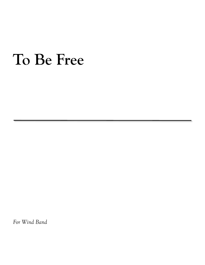# **To Be Free**

*For Wind Band*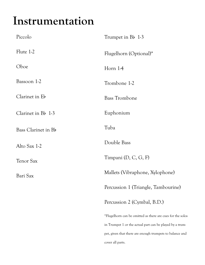## **Instrumentation**

| Piccolo              | Trumpet in Bb 1-3                                          |  |  |
|----------------------|------------------------------------------------------------|--|--|
| Flute 1-2            | Flugelhorn (Optional)*                                     |  |  |
| Oboe                 | Horn 1-4                                                   |  |  |
| Bassoon 1-2          | Trombone 1-2                                               |  |  |
| Clarinet in Eb       | <b>Bass Trombone</b>                                       |  |  |
| Clarinet in $Bb$ 1-3 | Euphonium                                                  |  |  |
| Bass Clarinet in Bb  | Tuba                                                       |  |  |
| Alto Sax 1-2         | Double Bass                                                |  |  |
| <b>Tenor Sax</b>     | Timpani (D, C, G, F)                                       |  |  |
| Bari Sax             | Mallets (Vibraphone, Xylophone)                            |  |  |
|                      | Percussion 1 (Triangle, Tambourine)                        |  |  |
|                      | Percussion 2 (Cymbal, B.D.)                                |  |  |
|                      | *Flugelhorn can be omitted as there are cues for the solos |  |  |
|                      | in Trumpet 1 or the actual part can be played by a trum-   |  |  |
|                      | pet, given that there are enough trumpets to balance and   |  |  |
|                      | cover all parts.                                           |  |  |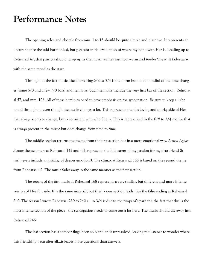### **Performance Notes**

The opening solos and chorale from mm. 1 to 13 should be quite simple and plaintive. It represents an unsure (hence the odd harmonies), but pleasant initial evaluation of where my bond with Her is. Leading up to Rehearsal 42, that passion should ramp up as the music realizes just how warm and tender She is. It fades away with the same mood as the start.

Throughout the fast music, the alternating 6/8 to 3/4 is the norm but do be mindful of the time changes (some 5/8 and a few 7/8 bars) and hemiolas. Such hemiolas include the very first bar of the section, Rehearsal 57, and mm. 106. All of these hemiolas need to have emphasis on the syncopation. Be sure to keep a light mood throughout even though the music changes a lot. This represents the fun-loving and quirky side of Her that always seems to change, but is consistent with who She is. This is represented in the 6/8 to 3/4 motive that is always present in the music but does change from time to time.

The middle section returns the theme from the first section but in a more emotional way. A new *Appassionato* theme enters at Rehearsal 143 and this represents the full extent of my passion for my dear friend (it *might* even include an inkling of deeper emotion!). The climax at Rehearsal 155 is based on the second theme from Rehearsal 42. The music fades away in the same manner as the first section.

The return of the fast music at Rehearsal 168 represents a very similar, but different and more intense version of Her fun side. It is the same material, but then a new section leads into the false ending at Rehearsal 240. The reason I wrote Rehearsal 230 to 240 all in 3/4 is due to the timpani's part and the fact that this is the most intense section of the piece– the syncopation needs to come out a lot here. The music should die away into Rehearsal 246.

The last section has a somber flugelhorn solo and ends unresolved, leaving the listener to wonder where this friendship went after all...it leaves more questions than answers.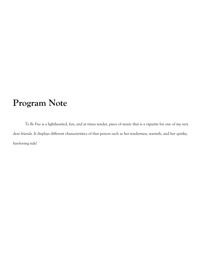## **Program Note**

*To Be Free* is a lighthearted, fun, and at times tender, piece of music that is a vignette for one of my very dear friends. It displays different characteristics of that person such as her tenderness, warmth, and her quirky, fun-loving side!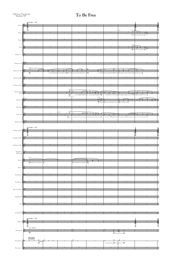

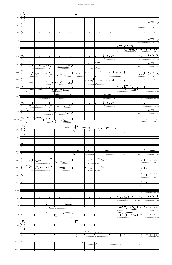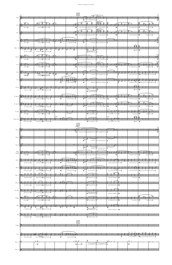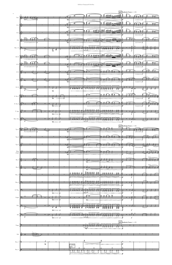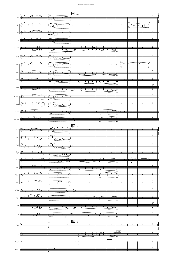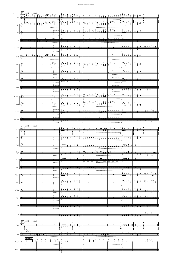

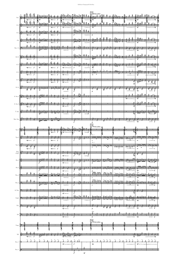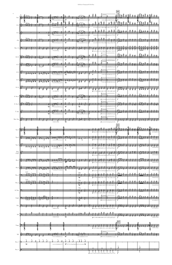|                                                                                                                                                                                                                                                                                                                       |                                            | Full Score Transposed-To Be Free                           |                                                                                     |                                                                                                                                                                                                                                                                                                                                                                                                                                                                            |
|-----------------------------------------------------------------------------------------------------------------------------------------------------------------------------------------------------------------------------------------------------------------------------------------------------------------------|--------------------------------------------|------------------------------------------------------------|-------------------------------------------------------------------------------------|----------------------------------------------------------------------------------------------------------------------------------------------------------------------------------------------------------------------------------------------------------------------------------------------------------------------------------------------------------------------------------------------------------------------------------------------------------------------------|
| 80                                                                                                                                                                                                                                                                                                                    |                                            | <u>fruumu</u><br>$\tilde{\mathbb{1}}$<br>É                 |                                                                                     |                                                                                                                                                                                                                                                                                                                                                                                                                                                                            |
| 俸<br>Picc.                                                                                                                                                                                                                                                                                                            |                                            |                                                            |                                                                                     |                                                                                                                                                                                                                                                                                                                                                                                                                                                                            |
| $\rm Fl.$ $1$<br>⊕                                                                                                                                                                                                                                                                                                    |                                            | $\tilde{\mathbf{f}}$<br>$\tilde{\mathbf{f}}$<br>匡肇         | $\mathbb{R}^{\frac{1}{2}} \stackrel{?}{\equiv} \mathbb{R}^{\frac{1}{2}}$<br>⊺≨ ≩ ⊯្ | 言言言言:<br>$\mathbf{I}$ $\mathbf{\hat{f}}$ $\mathbf{\hat{f}}$ $\mathbf{\hat{f}}$                                                                                                                                                                                                                                                                                                                                                                                             |
|                                                                                                                                                                                                                                                                                                                       | m f                                        | Ě<br>$\tilde{P}$<br>$\check{\mathbf{f}}$<br>$\geq$         | é<br>é<br>€<br>혼<br>≆                                                               | $rac{z}{z}$ $rac{z}{z}$<br>₤ѐ                                                                                                                                                                                                                                                                                                                                                                                                                                              |
| Fl. 2 $\frac{1}{10}$                                                                                                                                                                                                                                                                                                  | $\boldsymbol{m}$<br>mf                     | $\boldsymbol{\eta}$                                        | $\boldsymbol{f}$                                                                    |                                                                                                                                                                                                                                                                                                                                                                                                                                                                            |
| Ob.                                                                                                                                                                                                                                                                                                                   |                                            | $\geq$ $\frac{2}{5}$<br>峄<br>≩                             | <u>.</u>                                                                            |                                                                                                                                                                                                                                                                                                                                                                                                                                                                            |
|                                                                                                                                                                                                                                                                                                                       | m f                                        |                                                            |                                                                                     |                                                                                                                                                                                                                                                                                                                                                                                                                                                                            |
| Bsn. 1-2<br>Đ,                                                                                                                                                                                                                                                                                                        | $\sqrt{7}$<br>$\rightarrow$<br>$\sum_{mp}$ |                                                            |                                                                                     |                                                                                                                                                                                                                                                                                                                                                                                                                                                                            |
|                                                                                                                                                                                                                                                                                                                       |                                            | <b>p</b><br>4<br>$\tilde{\tilde{}}$<br>$\tilde{\tilde{E}}$ | ≨ ≧<br>$\epsilon \in$<br>€<br>丰                                                     | 1 1<br>$F \triangleq$<br>$\triangleq$<br>柔                                                                                                                                                                                                                                                                                                                                                                                                                                 |
| $\mathop{\mathbb{E}\mathrm{b}}$ Cl.                                                                                                                                                                                                                                                                                   | mf                                         | n                                                          | <i>grunnfummum</i>                                                                  |                                                                                                                                                                                                                                                                                                                                                                                                                                                                            |
| Cl.1                                                                                                                                                                                                                                                                                                                  |                                            | $\frac{2}{5}$ $\frac{12}{5}$                               |                                                                                     |                                                                                                                                                                                                                                                                                                                                                                                                                                                                            |
|                                                                                                                                                                                                                                                                                                                       | mf                                         | $\boldsymbol{r}$<br>mun                                    | $\boldsymbol{f}$                                                                    |                                                                                                                                                                                                                                                                                                                                                                                                                                                                            |
| Cl. 2<br>⊕<br>₹                                                                                                                                                                                                                                                                                                       | $\boldsymbol{m}\boldsymbol{p}$             | $\overline{\cdot}$<br>$\boldsymbol{p}$                     | <del>: م تم م الم</del><br>$\boldsymbol{f}$                                         | $\widehat{\phantom{a}}$<br>$\tilde{r}$ , $\tilde{r}$ , $\tilde{r}$ , $\tilde{r}$ , $\tilde{r}$ , $\tilde{r}$ , $\tilde{r}$ , $\tilde{r}$ , $\tilde{r}$ , $\tilde{r}$ , $\tilde{r}$ , $\tilde{r}$ , $\tilde{r}$ , $\tilde{r}$ , $\tilde{r}$ , $\tilde{r}$ , $\tilde{r}$ , $\tilde{r}$ , $\tilde{r}$ , $\tilde{r}$ , $\tilde{r}$ , $\tilde{r}$ ,<br>$\overline{\phantom{0}}$                                                                                                 |
| Cl.3<br>¢                                                                                                                                                                                                                                                                                                             |                                            | <b>trun</b>                                                | $\cdots$                                                                            |                                                                                                                                                                                                                                                                                                                                                                                                                                                                            |
| ₹<br>₹                                                                                                                                                                                                                                                                                                                | ⋣<br>र राह<br>$\sum_{m,p}$                 | ₹<br>इ<br>$\boldsymbol{p}$                                 |                                                                                     |                                                                                                                                                                                                                                                                                                                                                                                                                                                                            |
| B. Cl.<br>♣<br>₹<br>₹                                                                                                                                                                                                                                                                                                 | $\overrightarrow{=}$<br>₹<br>₹             | चो≠<br>इ<br>र्                                             | ╤╤╤╤<br>⋥<br>रे रे<br>ॱ                                                             | $\overline{}$<br><del>नू कुन्</del><br>⋥                                                                                                                                                                                                                                                                                                                                                                                                                                   |
|                                                                                                                                                                                                                                                                                                                       |                                            | $p-$<br>$r_{\rm{max}}$                                     | रों⊈<br>≛                                                                           | $\bigcap$                                                                                                                                                                                                                                                                                                                                                                                                                                                                  |
| <del>के प्र</del><br>A. Sax. $1\sqrt{\frac{2}{5}}$                                                                                                                                                                                                                                                                    | ゼ<br>mf                                    | 7 X X<br>n<br>p                                            | $\boldsymbol{f}$                                                                    |                                                                                                                                                                                                                                                                                                                                                                                                                                                                            |
| .<br>सिद्<br>A. Sax. 2 $\frac{1}{6}$                                                                                                                                                                                                                                                                                  |                                            |                                                            | $\widehat{\mathbf{f}^{\bullet}}$<br>⇒ इउ                                            | $\overline{\phantom{a}}$<br>لۍ ل                                                                                                                                                                                                                                                                                                                                                                                                                                           |
|                                                                                                                                                                                                                                                                                                                       | $\mathbf{m}$<br>mf                         | $\boldsymbol{m}\boldsymbol{p}$<br>grum                     |                                                                                     |                                                                                                                                                                                                                                                                                                                                                                                                                                                                            |
| T. Sax.<br>$\circ$                                                                                                                                                                                                                                                                                                    | $\it mf$<br>$\binom{mp}{2}$                | $\bar{f}$<br>$p -$                                         |                                                                                     | $\frac{1}{2} \left[ \frac{1}{2} \right] \left[ \frac{1}{2} \right] \left[ \frac{1}{2} \right] \left[ \frac{1}{2} \right] \left[ \frac{1}{2} \right] \left[ \frac{1}{2} \right] \left[ \frac{1}{2} \right] \left[ \frac{1}{2} \right] \left[ \frac{1}{2} \right] \left[ \frac{1}{2} \right] \left[ \frac{1}{2} \right] \left[ \frac{1}{2} \right] \left[ \frac{1}{2} \right] \left[ \frac{1}{2} \right] \left[ \frac{1}{2} \right] \left[ \frac{1}{2} \right] \left[ \frac$ |
| Bari. Sax. $\left[\begin{array}{c} \bullet \\ \bullet \end{array}\right]$                                                                                                                                                                                                                                             |                                            | ⇉<br>₹                                                     | grunnfumunum                                                                        |                                                                                                                                                                                                                                                                                                                                                                                                                                                                            |
|                                                                                                                                                                                                                                                                                                                       | $\sum_{mp}$                                |                                                            | 88                                                                                  |                                                                                                                                                                                                                                                                                                                                                                                                                                                                            |
| $\frac{1}{2}$                                                                                                                                                                                                                                                                                                         |                                            |                                                            | $\sum_{i=1}^\infty$                                                                 |                                                                                                                                                                                                                                                                                                                                                                                                                                                                            |
|                                                                                                                                                                                                                                                                                                                       |                                            | $p-$                                                       |                                                                                     |                                                                                                                                                                                                                                                                                                                                                                                                                                                                            |
| $\operatorname{\mathsf{Tpt.}}2$<br>ę.<br>रेकर                                                                                                                                                                                                                                                                         |                                            |                                                            |                                                                                     |                                                                                                                                                                                                                                                                                                                                                                                                                                                                            |
| Tpt. 3                                                                                                                                                                                                                                                                                                                |                                            | $\epsilon$ ).<br>$\rightarrow$                             | मुक्त के                                                                            | <u>तुम् ।</u>                                                                                                                                                                                                                                                                                                                                                                                                                                                              |
| नेक के प<br>चेत्र इत्र इत्र                                                                                                                                                                                                                                                                                           | रेकार्ट्ट<br>स                             |                                                            |                                                                                     | $\frac{1}{2}$ $\frac{1}{2}$ $\frac{1}{2}$                                                                                                                                                                                                                                                                                                                                                                                                                                  |
| $\begin{array}{c} \text{Flug.} \\ \text{(Opt.)} \end{array}$<br>6.                                                                                                                                                                                                                                                    |                                            | $p-$                                                       | चुन्न≠<br>琴                                                                         | इ⊒≠                                                                                                                                                                                                                                                                                                                                                                                                                                                                        |
| Hn. 1<br>$\frac{1}{2}$ , $\frac{1}{2}$ , $\frac{1}{2}$<br>$\circ$                                                                                                                                                                                                                                                     | न्दर् <b>द</b>                             |                                                            | J J J J<br>$\overline{\phantom{a}}$                                                 | $\overline{.}$<br>$\frac{1}{2}$                                                                                                                                                                                                                                                                                                                                                                                                                                            |
|                                                                                                                                                                                                                                                                                                                       | $\frac{1}{\eta p}$                         | 三                                                          |                                                                                     | ⋝                                                                                                                                                                                                                                                                                                                                                                                                                                                                          |
| $\lim_{h \to 2} 2$<br>$\frac{1}{2}$                                                                                                                                                                                                                                                                                   | $\overline{\phantom{a}}$<br>$\tilde{m}$    | $\mathfrak{F} \mathfrak{H}$                                |                                                                                     |                                                                                                                                                                                                                                                                                                                                                                                                                                                                            |
| 11.11<br>Tbn.1                                                                                                                                                                                                                                                                                                        | <b>BBB</b>                                 | Play<br>$7 \times 6 \times 7$                              |                                                                                     |                                                                                                                                                                                                                                                                                                                                                                                                                                                                            |
|                                                                                                                                                                                                                                                                                                                       |                                            | $\boldsymbol{m}\boldsymbol{p}$<br>$p-$<br>Play             |                                                                                     |                                                                                                                                                                                                                                                                                                                                                                                                                                                                            |
| 公分<br>,,,,,,,<br>Tbn. $2$ $\frac{1}{2}$                                                                                                                                                                                                                                                                               | SS 1                                       | $\frac{1}{m}$                                              | <del>ैं ।</del><br>.f                                                               | <u>شكسة "</u>                                                                                                                                                                                                                                                                                                                                                                                                                                                              |
| $\mathbf{P}$<br>$\operatorname{B.}$ Tbn.                                                                                                                                                                                                                                                                              |                                            | Play<br>7.671                                              | فنسفغ                                                                               | $\tilde{f}$ , $\tilde{f}$ , $\tilde{f}$                                                                                                                                                                                                                                                                                                                                                                                                                                    |
|                                                                                                                                                                                                                                                                                                                       |                                            | $\frac{1}{mp}$<br>$\frac{1}{\tilde{p}-\tilde{p}}$<br>mum   |                                                                                     |                                                                                                                                                                                                                                                                                                                                                                                                                                                                            |
| Euph. $\frac{1}{2}$ $\frac{1}{2}$ $\frac{1}{2}$ $\frac{1}{2}$ $\frac{1}{2}$ $\frac{1}{2}$ $\frac{1}{2}$ $\frac{1}{2}$ $\frac{1}{2}$ $\frac{1}{2}$ $\frac{1}{2}$ $\frac{1}{2}$ $\frac{1}{2}$ $\frac{1}{2}$ $\frac{1}{2}$ $\frac{1}{2}$ $\frac{1}{2}$ $\frac{1}{2}$ $\frac{1}{2}$ $\frac{1}{2}$ $\frac{1}{2}$ $\frac{1$ |                                            | う かほう ときる<br>$\frac{1}{mp}$                                |                                                                                     |                                                                                                                                                                                                                                                                                                                                                                                                                                                                            |
| Tba.                                                                                                                                                                                                                                                                                                                  |                                            |                                                            |                                                                                     |                                                                                                                                                                                                                                                                                                                                                                                                                                                                            |
|                                                                                                                                                                                                                                                                                                                       |                                            |                                                            |                                                                                     |                                                                                                                                                                                                                                                                                                                                                                                                                                                                            |
| Db.                                                                                                                                                                                                                                                                                                                   |                                            |                                                            |                                                                                     |                                                                                                                                                                                                                                                                                                                                                                                                                                                                            |
|                                                                                                                                                                                                                                                                                                                       | $\boldsymbol{m}$                           |                                                            |                                                                                     |                                                                                                                                                                                                                                                                                                                                                                                                                                                                            |
|                                                                                                                                                                                                                                                                                                                       |                                            |                                                            | $\sqrt{88}$                                                                         |                                                                                                                                                                                                                                                                                                                                                                                                                                                                            |
| Timp.                                                                                                                                                                                                                                                                                                                 |                                            |                                                            |                                                                                     |                                                                                                                                                                                                                                                                                                                                                                                                                                                                            |
| Xyl.                                                                                                                                                                                                                                                                                                                  |                                            | $\mathbf{\mathbf{\mathbf{\mathbf{+}}}}$                    | \$                                                                                  | ने के∃                                                                                                                                                                                                                                                                                                                                                                                                                                                                     |
|                                                                                                                                                                                                                                                                                                                       |                                            |                                                            |                                                                                     |                                                                                                                                                                                                                                                                                                                                                                                                                                                                            |
| Perc. $1$<br>$\boldsymbol{m}\boldsymbol{p}$                                                                                                                                                                                                                                                                           |                                            |                                                            |                                                                                     |                                                                                                                                                                                                                                                                                                                                                                                                                                                                            |
|                                                                                                                                                                                                                                                                                                                       |                                            | mр                                                         |                                                                                     |                                                                                                                                                                                                                                                                                                                                                                                                                                                                            |
| Perc. $2 \quad \boxed{\text{H}}$                                                                                                                                                                                                                                                                                      |                                            |                                                            |                                                                                     |                                                                                                                                                                                                                                                                                                                                                                                                                                                                            |

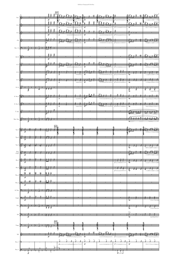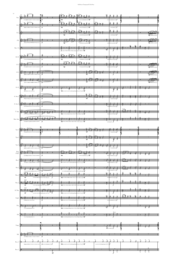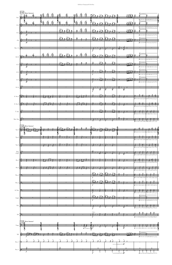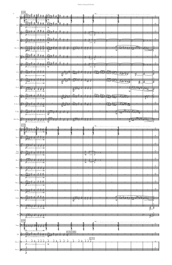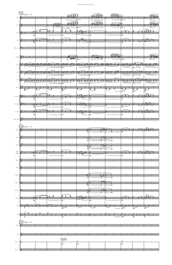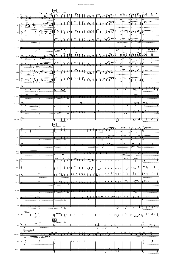

Full Score Transposed-To Be Free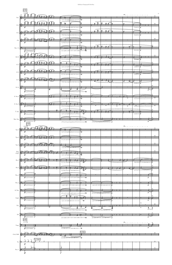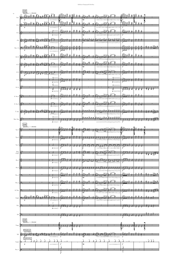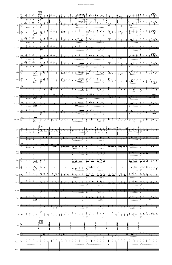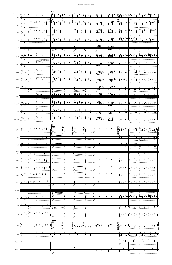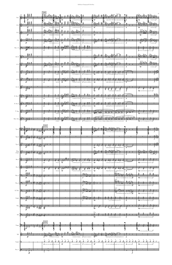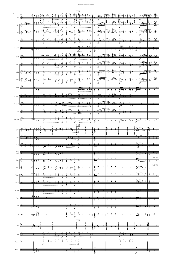

Full Score Transposed-To Be Free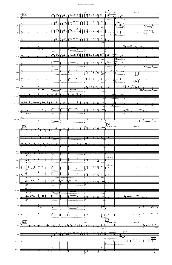